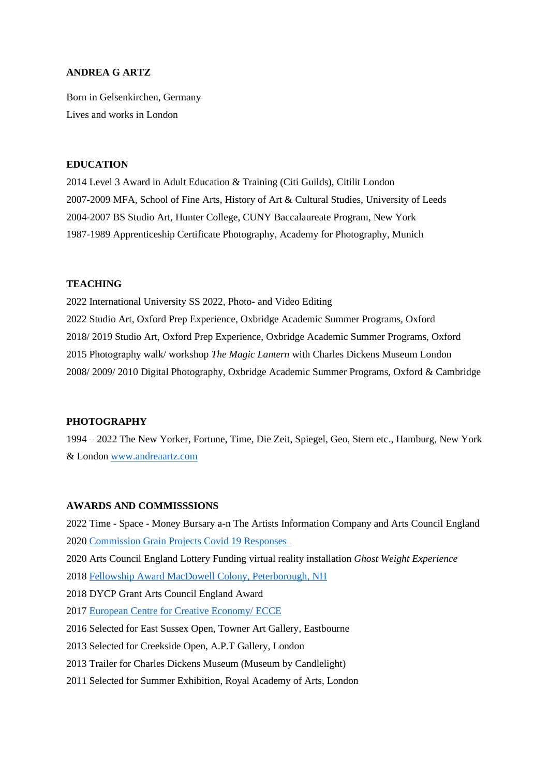## **ANDREA G ARTZ**

Born in Gelsenkirchen, Germany Lives and works in London

## **EDUCATION**

2014 Level 3 Award in Adult Education & Training (Citi Guilds), Citilit London 2007-2009 MFA, School of Fine Arts, History of Art & Cultural Studies, University of Leeds 2004-2007 BS Studio Art, Hunter College, CUNY Baccalaureate Program, New York 1987-1989 Apprenticeship Certificate Photography, Academy for Photography, Munich

#### **TEACHING**

2022 International University SS 2022, Photo- and Video Editing 2022 Studio Art, Oxford Prep Experience, Oxbridge Academic Summer Programs, Oxford 2018/ 2019 Studio Art, Oxford Prep Experience, Oxbridge Academic Summer Programs, Oxford 2015 Photography walk/ workshop *The Magic Lantern* with Charles Dickens Museum London 2008/ 2009/ 2010 Digital Photography, Oxbridge Academic Summer Programs, Oxford & Cambridge

# **PHOTOGRAPHY**

1994 – 2022 The New Yorker, Fortune, Time, Die Zeit, Spiegel, Geo, Stern etc., Hamburg, New York & London [www.andreaartz.com](http://www.andreaartz.com/) 

# **AWARDS AND COMMISSSIONS**

2022 Time - Space - Money Bursary a-n The Artists Information Company and Arts Council England 2020 Commission Grain [Projects Covid 19 Responses](https://grainphotographyhub.co.uk/portfolio-type/andrea-g-artz/) 2020 Arts Council England Lottery Funding virtual reality installation *Ghost Weight Experience* 201[8 Fellowship Award MacDowell Colony, Peterborough, NH](https://www.macdowell.org/artists/andrea-g-artz) 2018 DYCP Grant Arts Council England Award 201[7 European Centre for Creative Economy/ ECCE](https://www.e-c-c-e.de/en/news-detail/andrea-g-artz-farewells-in-rottstr5.html) 2016 Selected for East Sussex Open, Towner Art Gallery, Eastbourne 2013 Selected for Creekside Open, A.P.T Gallery, London 2013 Trailer for Charles Dickens Museum (Museum by Candlelight) 2011 Selected for Summer Exhibition, Royal Academy of Arts, London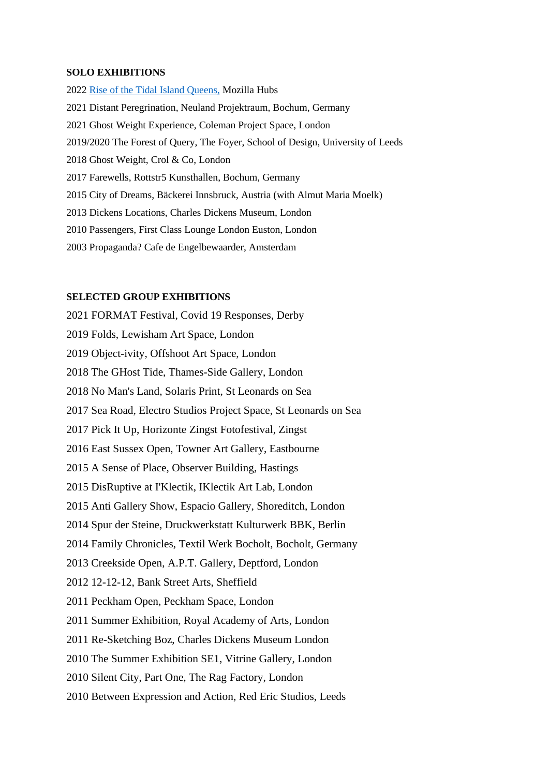#### **SOLO EXHIBITIONS**

202[2 Rise of the Tidal Island Queens,](https://hubs.mozilla.com/mpBaYtA/) Mozilla Hubs 2021 Distant Peregrination, Neuland Projektraum, Bochum, Germany 2021 Ghost Weight Experience, Coleman Project Space, London 2019/2020 The Forest of Query, The Foyer, School of Design, University of Leeds 2018 Ghost Weight, Crol & Co, London 2017 Farewells, Rottstr5 Kunsthallen, Bochum, Germany 2015 City of Dreams, Bäckerei Innsbruck, Austria (with Almut Maria Moelk) 2013 Dickens Locations, Charles Dickens Museum, London 2010 Passengers, First Class Lounge London Euston, London 2003 Propaganda? Cafe de Engelbewaarder, Amsterdam

# **SELECTED GROUP EXHIBITIONS**

2021 FORMAT Festival, Covid 19 Responses, Derby 2019 Folds, Lewisham Art Space, London 2019 Object-ivity, Offshoot Art Space, London 2018 The GHost Tide, Thames-Side Gallery, London 2018 No Man's Land, Solaris Print, St Leonards on Sea 2017 Sea Road, Electro Studios Project Space, St Leonards on Sea 2017 Pick It Up, Horizonte Zingst Fotofestival, Zingst 2016 East Sussex Open, Towner Art Gallery, Eastbourne 2015 A Sense of Place, Observer Building, Hastings 2015 DisRuptive at I'Klectik, IKlectik Art Lab, London 2015 Anti Gallery Show, Espacio Gallery, Shoreditch, London 2014 Spur der Steine, Druckwerkstatt Kulturwerk BBK, Berlin 2014 Family Chronicles, Textil Werk Bocholt, Bocholt, Germany 2013 Creekside Open, A.P.T. Gallery, Deptford, London 2012 12-12-12, Bank Street Arts, Sheffield 2011 Peckham Open, Peckham Space, London 2011 Summer Exhibition, Royal Academy of Arts, London 2011 Re-Sketching Boz, Charles Dickens Museum London 2010 The Summer Exhibition SE1, Vitrine Gallery, London 2010 Silent City, Part One, The Rag Factory, London 2010 Between Expression and Action, Red Eric Studios, Leeds